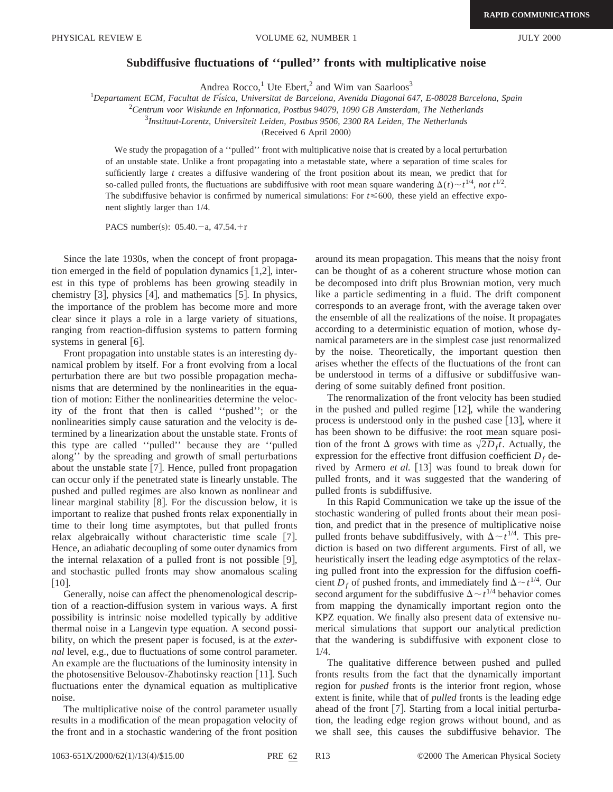## **Subdiffusive fluctuations of ''pulled'' fronts with multiplicative noise**

Andrea Rocco,<sup>1</sup> Ute Ebert,<sup>2</sup> and Wim van Saarloos<sup>3</sup>

1 *Departament ECM, Facultat de Fı´sica, Universitat de Barcelona, Avenida Diagonal 647, E-08028 Barcelona, Spain*

2 *Centrum voor Wiskunde en Informatica, Postbus 94079, 1090 GB Amsterdam, The Netherlands*

3 *Instituut-Lorentz, Universiteit Leiden, Postbus 9506, 2300 RA Leiden, The Netherlands*

(Received 6 April 2000)

We study the propagation of a "pulled" front with multiplicative noise that is created by a local perturbation of an unstable state. Unlike a front propagating into a metastable state, where a separation of time scales for sufficiently large *t* creates a diffusive wandering of the front position about its mean, we predict that for so-called pulled fronts, the fluctuations are subdiffusive with root mean square wandering  $\Delta(t) \sim t^{1/4}$ , *not*  $t^{1/2}$ . The subdiffusive behavior is confirmed by numerical simulations: For  $t \le 600$ , these yield an effective exponent slightly larger than 1/4.

PACS number(s):  $05.40.-a$ ,  $47.54.+r$ 

Since the late 1930s, when the concept of front propagation emerged in the field of population dynamics  $\vert 1,2\vert$ , interest in this type of problems has been growing steadily in chemistry  $[3]$ , physics  $[4]$ , and mathematics  $[5]$ . In physics, the importance of the problem has become more and more clear since it plays a role in a large variety of situations, ranging from reaction-diffusion systems to pattern forming systems in general  $[6]$ .

Front propagation into unstable states is an interesting dynamical problem by itself. For a front evolving from a local perturbation there are but two possible propagation mechanisms that are determined by the nonlinearities in the equation of motion: Either the nonlinearities determine the velocity of the front that then is called ''pushed''; or the nonlinearities simply cause saturation and the velocity is determined by a linearization about the unstable state. Fronts of this type are called ''pulled'' because they are ''pulled along'' by the spreading and growth of small perturbations about the unstable state  $[7]$ . Hence, pulled front propagation can occur only if the penetrated state is linearly unstable. The pushed and pulled regimes are also known as nonlinear and linear marginal stability  $[8]$ . For the discussion below, it is important to realize that pushed fronts relax exponentially in time to their long time asymptotes, but that pulled fronts relax algebraically without characteristic time scale  $[7]$ . Hence, an adiabatic decoupling of some outer dynamics from the internal relaxation of a pulled front is not possible  $[9]$ , and stochastic pulled fronts may show anomalous scaling  $\lceil 10 \rceil$ .

Generally, noise can affect the phenomenological description of a reaction-diffusion system in various ways. A first possibility is intrinsic noise modelled typically by additive thermal noise in a Langevin type equation. A second possibility, on which the present paper is focused, is at the *external* level, e.g., due to fluctuations of some control parameter. An example are the fluctuations of the luminosity intensity in the photosensitive Belousov-Zhabotinsky reaction [11]. Such fluctuations enter the dynamical equation as multiplicative noise.

The multiplicative noise of the control parameter usually results in a modification of the mean propagation velocity of the front and in a stochastic wandering of the front position around its mean propagation. This means that the noisy front can be thought of as a coherent structure whose motion can be decomposed into drift plus Brownian motion, very much like a particle sedimenting in a fluid. The drift component corresponds to an average front, with the average taken over the ensemble of all the realizations of the noise. It propagates according to a deterministic equation of motion, whose dynamical parameters are in the simplest case just renormalized by the noise. Theoretically, the important question then arises whether the effects of the fluctuations of the front can be understood in terms of a diffusive or subdiffusive wandering of some suitably defined front position.

The renormalization of the front velocity has been studied in the pushed and pulled regime  $[12]$ , while the wandering process is understood only in the pushed case  $[13]$ , where it has been shown to be diffusive: the root mean square position of the front  $\Delta$  grows with time as  $\sqrt{2D_f t}$ . Actually, the expression for the effective front diffusion coefficient  $D_f$  derived by Armero *et al.* [13] was found to break down for pulled fronts, and it was suggested that the wandering of pulled fronts is subdiffusive.

In this Rapid Communication we take up the issue of the stochastic wandering of pulled fronts about their mean position, and predict that in the presence of multiplicative noise pulled fronts behave subdiffusively, with  $\Delta \sim t^{1/4}$ . This prediction is based on two different arguments. First of all, we heuristically insert the leading edge asymptotics of the relaxing pulled front into the expression for the diffusion coefficient  $D_f$  of pushed fronts, and immediately find  $\Delta \sim t^{1/4}$ . Our second argument for the subdiffusive  $\Delta \sim t^{1/4}$  behavior comes from mapping the dynamically important region onto the KPZ equation. We finally also present data of extensive numerical simulations that support our analytical prediction that the wandering is subdiffusive with exponent close to 1/4.

The qualitative difference between pushed and pulled fronts results from the fact that the dynamically important region for *pushed* fronts is the interior front region, whose extent is finite, while that of *pulled* fronts is the leading edge ahead of the front  $[7]$ . Starting from a local initial perturbation, the leading edge region grows without bound, and as we shall see, this causes the subdiffusive behavior. The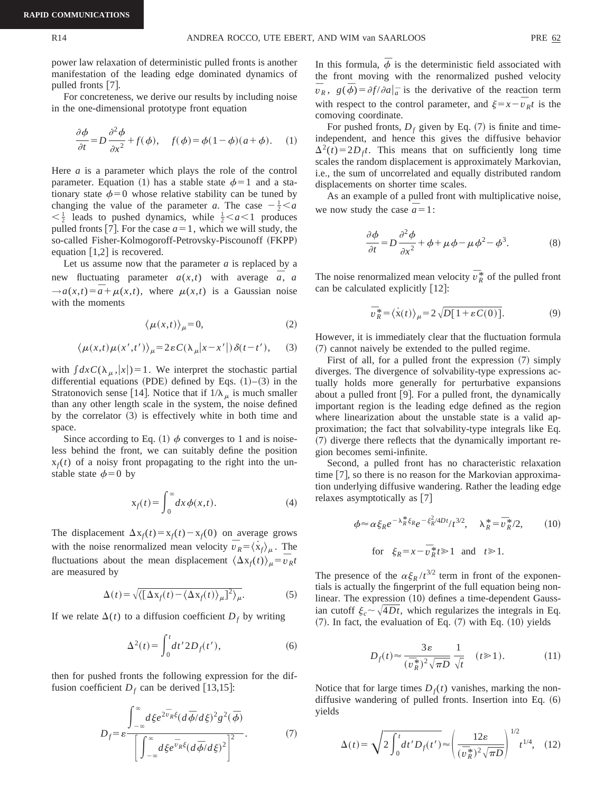power law relaxation of deterministic pulled fronts is another manifestation of the leading edge dominated dynamics of pulled fronts  $[7]$ .

For concreteness, we derive our results by including noise in the one-dimensional prototype front equation

$$
\frac{\partial \phi}{\partial t} = D \frac{\partial^2 \phi}{\partial x^2} + f(\phi), \quad f(\phi) = \phi(1 - \phi)(a + \phi). \quad (1)
$$

Here *a* is a parameter which plays the role of the control parameter. Equation (1) has a stable state  $\phi=1$  and a stationary state  $\phi=0$  whose relative stability can be tuned by changing the value of the parameter *a*. The case  $-\frac{1}{2} < a$  $\langle \frac{1}{2} \rangle$  leads to pushed dynamics, while  $\frac{1}{2} \langle a \langle 1 \rangle$  produces pulled fronts [7]. For the case  $a=1$ , which we will study, the so-called Fisher-Kolmogoroff-Petrovsky-Piscounoff (FKPP) equation  $\lceil 1,2 \rceil$  is recovered.

Let us assume now that the parameter *a* is replaced by a new fluctuating parameter  $a(x,t)$  with average  $\overline{a}$ , *a*  $\rightarrow a(x,t) = \overline{a} + \mu(x,t)$ , where  $\mu(x,t)$  is a Gaussian noise with the moments

$$
\langle \mu(x,t) \rangle_{\mu} = 0,\tag{2}
$$

$$
\langle \mu(x,t)\mu(x',t')\rangle_{\mu} = 2\varepsilon C(\lambda_{\mu}|x-x'|)\delta(t-t'),\qquad(3)
$$

with  $\int dx C(\lambda_{\mu}, |x|) = 1$ . We interpret the stochastic partial differential equations (PDE) defined by Eqs.  $(1)$ – $(3)$  in the Stratonovich sense [14]. Notice that if  $1/\lambda_{\mu}$  is much smaller than any other length scale in the system, the noise defined by the correlator  $(3)$  is effectively white in both time and space.

Since according to Eq. (1)  $\phi$  converges to 1 and is noiseless behind the front, we can suitably define the position  $x_f(t)$  of a noisy front propagating to the right into the unstable state  $\phi=0$  by

$$
x_f(t) = \int_0^\infty dx \, \phi(x, t). \tag{4}
$$

The displacement  $\Delta x_f(t) = x_f(t) - x_f(0)$  on average grows with the noise renormalized mean velocity  $\overline{v}_R = \langle x_f \rangle_\mu$ . The fluctuations about the mean displacement  $\langle \Delta x_f(t) \rangle_\mu = \bar{v}_R t$ are measured by

$$
\Delta(t) = \sqrt{\langle \left[ \Delta x_f(t) - \langle \Delta x_f(t) \rangle_{\mu} \right]^2 \rangle_{\mu}}.
$$
 (5)

If we relate  $\Delta(t)$  to a diffusion coefficient  $D_f$  by writing

$$
\Delta^{2}(t) = \int_{0}^{t} dt' 2D_{f}(t'),
$$
\n(6)

then for pushed fronts the following expression for the diffusion coefficient  $D_f$  can be derived [13,15]:

$$
D_f = \varepsilon \frac{\int_{-\infty}^{\infty} d\xi e^{2\bar{v}_R\xi} (d\bar{\phi}/d\xi)^2 g^2(\bar{\phi})}{\left[\int_{-\infty}^{\infty} d\xi e^{\bar{v}_R\xi} (d\bar{\phi}/d\xi)^2\right]^2}.
$$
 (7)

In this formula,  $\bar{\phi}$  is the deterministic field associated with the front moving with the renormalized pushed velocity  $\overline{v}_R$ ,  $g(\overline{\phi}) = \partial f / \partial a |_{\overline{a}}$  is the derivative of the reaction term with respect to the control parameter, and  $\xi = x - \overline{v}_R t$  is the comoving coordinate.

For pushed fronts,  $D_f$  given by Eq. (7) is finite and timeindependent, and hence this gives the diffusive behavior  $\Delta^2(t) = 2D_f t$ . This means that on sufficiently long time scales the random displacement is approximately Markovian, i.e., the sum of uncorrelated and equally distributed random displacements on shorter time scales.

As an example of a pulled front with multiplicative noise, we now study the case  $\bar{a} = 1$ :

$$
\frac{\partial \phi}{\partial t} = D \frac{\partial^2 \phi}{\partial x^2} + \phi + \mu \phi - \mu \phi^2 - \phi^3.
$$
 (8)

The noise renormalized mean velocity  $\bar{v}_R^*$  of the pulled front can be calculated explicitly  $[12]$ :

$$
\overline{v}_R^* = \langle \dot{x}(t) \rangle_{\mu} = 2\sqrt{D[1 + \varepsilon C(0)]}.
$$
 (9)

However, it is immediately clear that the fluctuation formula  $(7)$  cannot naively be extended to the pulled regime.

First of all, for a pulled front the expression  $(7)$  simply diverges. The divergence of solvability-type expressions actually holds more generally for perturbative expansions about a pulled front  $[9]$ . For a pulled front, the dynamically important region is the leading edge defined as the region where linearization about the unstable state is a valid approximation; the fact that solvability-type integrals like Eq. ~7! diverge there reflects that the dynamically important region becomes semi-infinite.

Second, a pulled front has no characteristic relaxation time  $[7]$ , so there is no reason for the Markovian approximation underlying diffusive wandering. Rather the leading edge relaxes asymptotically as  $[7]$ 

$$
\phi \approx \alpha \xi_R e^{-\lambda_R^* \xi_R} e^{-\xi_R^2 / 4Dt} / t^{3/2}, \quad \lambda_R^* = \overline{\nu}_R^* / 2,
$$
\nfor

\n
$$
\xi_R = x - \overline{\nu}_R^* t \ge 1 \quad \text{and} \quad t \ge 1.
$$
\n(10)

The presence of the  $\alpha \xi_R / t^{3/2}$  term in front of the exponentials is actually the fingerprint of the full equation being nonlinear. The expression  $(10)$  defines a time-dependent Gaussian cutoff  $\xi_c \sim \sqrt{4Dt}$ , which regularizes the integrals in Eq.  $(7)$ . In fact, the evaluation of Eq.  $(7)$  with Eq.  $(10)$  yields

$$
D_f(t) \approx \frac{3\varepsilon}{(\bar{v}_R^*)^2 \sqrt{\pi D}} \frac{1}{\sqrt{t}} \quad (t \ge 1). \tag{11}
$$

Notice that for large times  $D_f(t)$  vanishes, marking the nondiffusive wandering of pulled fronts. Insertion into Eq.  $(6)$ yields

$$
\Delta(t) = \sqrt{2 \int_0^t dt' D_f(t')} \approx \left(\frac{12\varepsilon}{(\bar{v}_R^*)^2 \sqrt{\pi D}}\right)^{1/2} t^{1/4}, \quad (12)
$$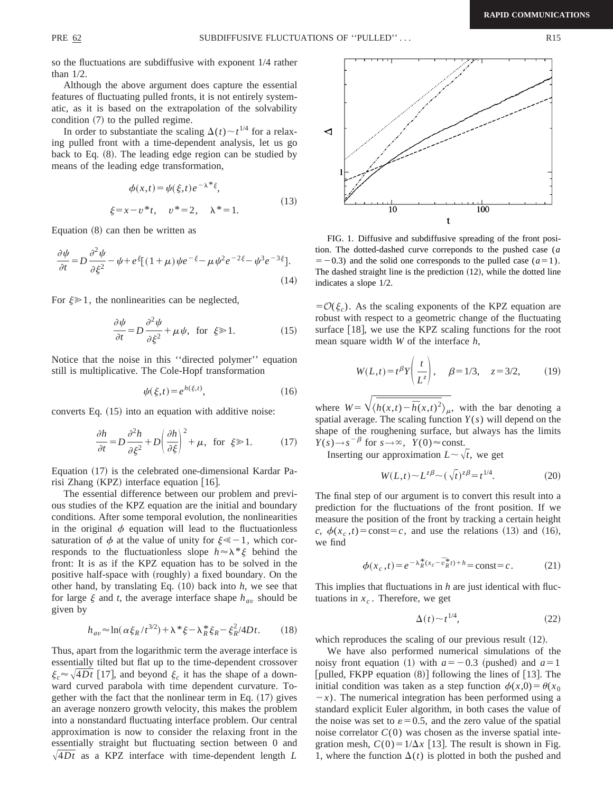so the fluctuations are subdiffusive with exponent 1/4 rather than 1/2.

Although the above argument does capture the essential features of fluctuating pulled fronts, it is not entirely systematic, as it is based on the extrapolation of the solvability condition  $(7)$  to the pulled regime.

In order to substantiate the scaling  $\Delta(t) \sim t^{1/4}$  for a relaxing pulled front with a time-dependent analysis, let us go back to Eq.  $(8)$ . The leading edge region can be studied by means of the leading edge transformation,

$$
\phi(x,t) = \psi(\xi,t)e^{-\lambda*\xi},
$$
  
\n
$$
\xi = x - v * t, \quad v^* = 2, \quad \lambda^* = 1.
$$
\n(13)

Equation  $(8)$  can then be written as

$$
\frac{\partial \psi}{\partial t} = D \frac{\partial^2 \psi}{\partial \xi^2} - \psi + e^{\xi} [(1 + \mu) \psi e^{-\xi} - \mu \psi^2 e^{-2\xi} - \psi^3 e^{-3\xi}].
$$
\n(14)

For  $\xi \geq 1$ , the nonlinearities can be neglected,

$$
\frac{\partial \psi}{\partial t} = D \frac{\partial^2 \psi}{\partial \xi^2} + \mu \psi, \text{ for } \xi \gg 1.
$$
 (15)

Notice that the noise in this ''directed polymer'' equation still is multiplicative. The Cole-Hopf transformation

$$
\psi(\xi, t) = e^{h(\xi, t)},\tag{16}
$$

converts Eq.  $(15)$  into an equation with additive noise:

$$
\frac{\partial h}{\partial t} = D \frac{\partial^2 h}{\partial \xi^2} + D \left( \frac{\partial h}{\partial \xi} \right)^2 + \mu, \text{ for } \xi \gg 1.
$$
 (17)

Equation (17) is the celebrated one-dimensional Kardar Parisi Zhang (KPZ) interface equation  $[16]$ .

The essential difference between our problem and previous studies of the KPZ equation are the initial and boundary conditions. After some temporal evolution, the nonlinearities in the original  $\phi$  equation will lead to the fluctuationless saturation of  $\phi$  at the value of unity for  $\xi \leq -1$ , which corresponds to the fluctuationless slope  $h \approx \lambda^* \xi$  behind the front: It is as if the KPZ equation has to be solved in the positive half-space with (roughly) a fixed boundary. On the other hand, by translating Eq.  $(10)$  back into *h*, we see that for large  $\xi$  and *t*, the average interface shape  $h_{av}$  should be given by

$$
h_{av} \approx \ln(\alpha \xi_R / t^{3/2}) + \lambda^* \xi - \lambda_R^* \xi_R - \xi_R^2 / 4Dt. \tag{18}
$$

Thus, apart from the logarithmic term the average interface is essentially tilted but flat up to the time-dependent crossover  $\xi_c \approx \sqrt{4Dt}$  [17], and beyond  $\xi_c$  it has the shape of a downward curved parabola with time dependent curvature. Together with the fact that the nonlinear term in Eq.  $(17)$  gives an average nonzero growth velocity, this makes the problem into a nonstandard fluctuating interface problem. Our central approximation is now to consider the relaxing front in the essentially straight but fluctuating section between 0 and  $\sqrt{4Dt}$  as a KPZ interface with time-dependent length *L* 



FIG. 1. Diffusive and subdiffusive spreading of the front position. The dotted-dashed curve correponds to the pushed case (*a*  $=$  -0.3) and the solid one corresponds to the pulled case  $(a=1)$ . The dashed straight line is the prediction  $(12)$ , while the dotted line indicates a slope 1/2.

 $=O(\xi_c)$ . As the scaling exponents of the KPZ equation are robust with respect to a geometric change of the fluctuating surface  $[18]$ , we use the KPZ scaling functions for the root mean square width *W* of the interface *h*,

$$
W(L,t) = t^{\beta} Y\left(\frac{t}{L^z}\right), \quad \beta = 1/3, \quad z = 3/2, \quad (19)
$$

where  $W = \sqrt{\langle h(x,t) - \overline{h}(x,t)^2 \rangle_{\mu}}$ , with the bar denoting a spatial average. The scaling function *Y*(*s*) will depend on the shape of the roughening surface, but always has the limits  $Y(s) \rightarrow s^{-\beta}$  for  $s \rightarrow \infty$ ,  $Y(0) \approx$  const.

Inserting our approximation  $L \sim \sqrt{t}$ , we get

$$
W(L,t) \sim L^{z\beta} \sim (\sqrt{t})^{z\beta} = t^{1/4}.
$$
 (20)

The final step of our argument is to convert this result into a prediction for the fluctuations of the front position. If we measure the position of the front by tracking a certain height *c*,  $\phi(x_c, t) = \text{const} = c$ , and use the relations (13) and (16), we find

$$
\phi(x_c, t) = e^{-\lambda_R^*(x_c - \bar{v}_R^* t) + h} = \text{const} = c.
$$
 (21)

This implies that fluctuations in *h* are just identical with fluctuations in  $x_c$ . Therefore, we get

$$
\Delta(t) \sim t^{1/4},\tag{22}
$$

which reproduces the scaling of our previous result  $(12)$ .

We have also performed numerical simulations of the noisy front equation (1) with  $a=-0.3$  (pushed) and  $a=1$ [pulled, FKPP equation  $(8)$ ] following the lines of [13]. The initial condition was taken as a step function  $\phi(x,0) = \theta(x_0)$  $-x$ ). The numerical integration has been performed using a standard explicit Euler algorithm, in both cases the value of the noise was set to  $\varepsilon = 0.5$ , and the zero value of the spatial noise correlator  $C(0)$  was chosen as the inverse spatial integration mesh,  $C(0) = 1/\Delta x$  [13]. The result is shown in Fig. 1, where the function  $\Delta(t)$  is plotted in both the pushed and